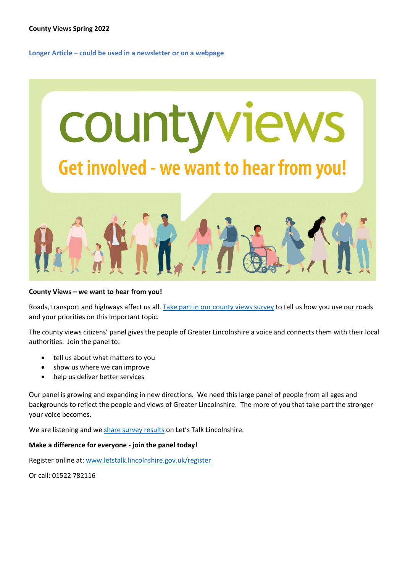**Longer Article – could be used in a newsletter or on a webpage**



# **County Views – we want to hear from you!**

Roads, transport and highways affect us all[. Take part in our county views survey](https://www.letstalk.lincolnshire.gov.uk/hub-page/county-views) to tell us how you use our roads and your priorities on this important topic.

The county views citizens' panel gives the people of Greater Lincolnshire a voice and connects them with their local authorities. Join the panel to:

- tell us about what matters to you
- show us where we can improve
- help us deliver better services

Our panel is growing and expanding in new directions. We need this large panel of people from all ages and backgrounds to reflect the people and views of Greater Lincolnshire. The more of you that take part the stronger your voice becomes.

We are listening and w[e share survey results](https://www.letstalk.lincolnshire.gov.uk/county-views-reports) on Let's Talk Lincolnshire.

# **Make a difference for everyone - join the panel today!**

Register online at: [www.letstalk.lincolnshire.gov.uk/register](http://www.letstalk.lincolnshire.gov.uk/register)

Or call: 01522 782116